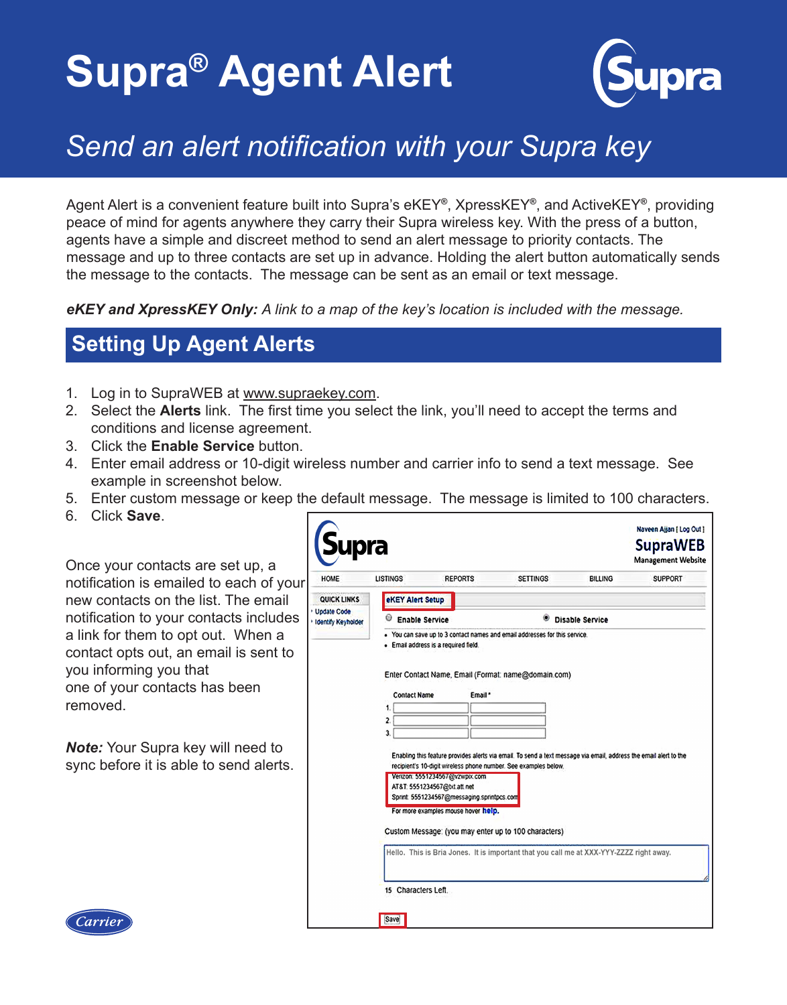# **Supra® Agent Alert**



## *Send an alert notification with your Supra key*

Agent Alert is a convenient feature built into Supra's eKEY**®**, XpressKEY**®**, and ActiveKEY**®**, providing peace of mind for agents anywhere they carry their Supra wireless key. With the press of a button, agents have a simple and discreet method to send an alert message to priority contacts. The message and up to three contacts are set up in advance. Holding the alert button automatically sends the message to the contacts. The message can be sent as an email or text message.

*eKEY and XpressKEY Only: A link to a map of the key's location is included with the message.*

### **Setting Up Agent Alerts**

- 1. Log in to SupraWEB at www.supraekey.com.
- 2. Select the **Alerts** link. The first time you select the link, you'll need to accept the terms and conditions and license agreement.
- 3. Click the **Enable Service** button.
- 4. Enter email address or 10-digit wireless number and carrier info to send a text message. See example in screenshot below.
- 5. Enter custom message or keep the default message. The message is limited to 100 characters.
- 6. Click **Save**.

Once your contacts are set up, a notification is emailed to each of your new contacts on the list. The email notification to your contacts includes a link for them to opt out. When a contact opts out, an email is sent to you informing you that one of your contacts has been removed.

*Note:* Your Supra key will need to sync before it is able to send alerts.

| <i><b>Supra</b></i>                                    |                                                                                                                                                                                                                                                                                                                                                                                                                                                                                                                                                                                                                                                                                   |                |                             |                | <b>SupraWEB</b><br><b>Management Website</b> |
|--------------------------------------------------------|-----------------------------------------------------------------------------------------------------------------------------------------------------------------------------------------------------------------------------------------------------------------------------------------------------------------------------------------------------------------------------------------------------------------------------------------------------------------------------------------------------------------------------------------------------------------------------------------------------------------------------------------------------------------------------------|----------------|-----------------------------|----------------|----------------------------------------------|
| <b>HOME</b>                                            | <b>LISTINGS</b>                                                                                                                                                                                                                                                                                                                                                                                                                                                                                                                                                                                                                                                                   | <b>REPORTS</b> | <b>SETTINGS</b>             | <b>BILLING</b> | <b>SUPPORT</b>                               |
| QUICK LINKS<br><b>Update Code</b><br>dentify Keyholder | <b>eKEY Alert Setup</b>                                                                                                                                                                                                                                                                                                                                                                                                                                                                                                                                                                                                                                                           |                |                             |                |                                              |
|                                                        | C<br><b>Enable Service</b>                                                                                                                                                                                                                                                                                                                                                                                                                                                                                                                                                                                                                                                        |                | ۷<br><b>Disable Service</b> |                |                                              |
|                                                        | · Email address is a required field.<br>Enter Contact Name, Email (Format: name@domain.com)<br><b>Contact Name</b><br>Email *<br>1.<br>$\mathbf{2}$<br>3.<br>Enabling this feature provides alerts via email. To send a text message via email, address the email alert to the<br>recipient's 10-digit wireless phone number. See examples below.<br>Verizon: 5551234567@vzwpix.com<br>AT&T. 5551234567@bd.att.net<br>Sprint: 5551234567@messaging.sprintpcs.com<br>For more examples mouse hover help.<br>Custom Message: (you may enter up to 100 characters)<br>Hello. This is Bria Jones. It is important that you call me at XXX-YYY-ZZZZ right away.<br>15 Characters Left. |                |                             |                |                                              |